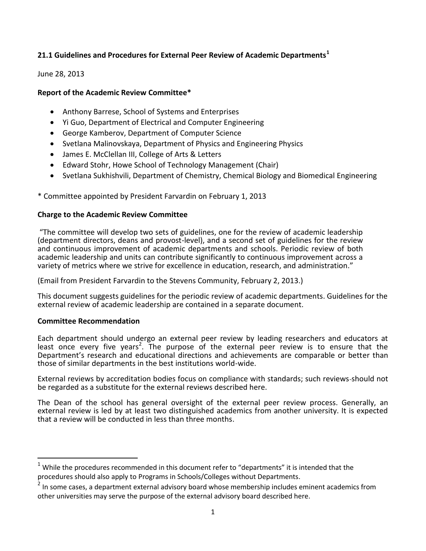# **21.1 Guidelines and Procedures for External Peer Review of Academic Departments<sup>1</sup>**

### June 28, 2013

## **Report of the Academic Review Committee\***

- Anthony Barrese, School of Systems and Enterprises
- Yi Guo, Department of Electrical and Computer Engineering
- George Kamberov, Department of Computer Science
- Svetlana Malinovskaya, Department of Physics and Engineering Physics
- James E. McClellan III, College of Arts & Letters
- Edward Stohr, Howe School of Technology Management (Chair)
- Svetlana Sukhishvili, Department of Chemistry, Chemical Biology and Biomedical Engineering

\* Committee appointed by President Farvardin on February 1, 2013

#### **Charge to the Academic Review Committee**

"The committee will develop two sets of guidelines, one for the review of academic leadership (department directors, deans and provost-level), and a second set of guidelines for the review and continuous improvement of academic departments and schools. Periodic review of both academic leadership and units can contribute significantly to continuous improvement across a variety of metrics where we strive for excellence in education, research, and administration."

(Email from President Farvardin to the Stevens Community, February 2, 2013.)

This document suggests guidelines for the periodic review of academic departments. Guidelines for the external review of academic leadership are contained in a separate document.

#### **Committee Recommendation**

 $\overline{\phantom{a}}$ 

Each department should undergo an external peer review by leading researchers and educators at least once every five years<sup>2</sup>. The purpose of the external peer review is to ensure that the Department's research and educational directions and achievements are comparable or better than those of similar departments in the best institutions world-wide.

External reviews by accreditation bodies focus on compliance with standards; such reviews-should not be regarded as a substitute for the external reviews described here.

The Dean of the school has general oversight of the external peer review process. Generally, an external review is led by at least two distinguished academics from another university. It is expected that a review will be conducted in less than three months.

 $1$  While the procedures recommended in this document refer to "departments" it is intended that the procedures should also apply to Programs in Schools/Colleges without Departments.

 $^{2}$  In some cases, a department external advisory board whose membership includes eminent academics from other universities may serve the purpose of the external advisory board described here.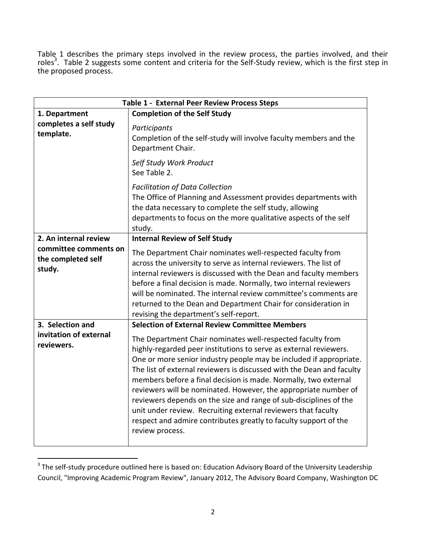Table 1 describes the primary steps involved in the review process, the parties involved, and their roles<sup>3</sup>. Table 2 suggests some content and criteria for the Self-Study review, which is the first step in the proposed process.

| <b>Table 1 - External Peer Review Process Steps</b>   |                                                                                                                                                                                                                                                                                                                                                                                                                                                                                                                                                                                                                                                   |  |
|-------------------------------------------------------|---------------------------------------------------------------------------------------------------------------------------------------------------------------------------------------------------------------------------------------------------------------------------------------------------------------------------------------------------------------------------------------------------------------------------------------------------------------------------------------------------------------------------------------------------------------------------------------------------------------------------------------------------|--|
| 1. Department                                         | <b>Completion of the Self Study</b>                                                                                                                                                                                                                                                                                                                                                                                                                                                                                                                                                                                                               |  |
| completes a self study<br>template.                   | Participants<br>Completion of the self-study will involve faculty members and the<br>Department Chair.                                                                                                                                                                                                                                                                                                                                                                                                                                                                                                                                            |  |
|                                                       | Self Study Work Product<br>See Table 2.                                                                                                                                                                                                                                                                                                                                                                                                                                                                                                                                                                                                           |  |
|                                                       | <b>Facilitation of Data Collection</b><br>The Office of Planning and Assessment provides departments with<br>the data necessary to complete the self study, allowing<br>departments to focus on the more qualitative aspects of the self<br>study.                                                                                                                                                                                                                                                                                                                                                                                                |  |
| 2. An internal review                                 | <b>Internal Review of Self Study</b>                                                                                                                                                                                                                                                                                                                                                                                                                                                                                                                                                                                                              |  |
| committee comments on<br>the completed self<br>study. | The Department Chair nominates well-respected faculty from<br>across the university to serve as internal reviewers. The list of<br>internal reviewers is discussed with the Dean and faculty members<br>before a final decision is made. Normally, two internal reviewers<br>will be nominated. The internal review committee's comments are<br>returned to the Dean and Department Chair for consideration in<br>revising the department's self-report.                                                                                                                                                                                          |  |
| 3. Selection and                                      | <b>Selection of External Review Committee Members</b>                                                                                                                                                                                                                                                                                                                                                                                                                                                                                                                                                                                             |  |
| invitation of external<br>reviewers.                  | The Department Chair nominates well-respected faculty from<br>highly-regarded peer institutions to serve as external reviewers.<br>One or more senior industry people may be included if appropriate.<br>The list of external reviewers is discussed with the Dean and faculty<br>members before a final decision is made. Normally, two external<br>reviewers will be nominated. However, the appropriate number of<br>reviewers depends on the size and range of sub-disciplines of the<br>unit under review. Recruiting external reviewers that faculty<br>respect and admire contributes greatly to faculty support of the<br>review process. |  |

 3 The self-study procedure outlined here is based on: Education Advisory Board of the University Leadership Council, "Improving Academic Program Review", January 2012, The Advisory Board Company, Washington DC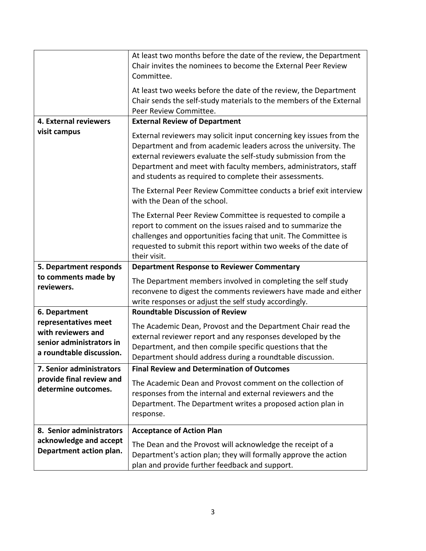|                                                                                                    | At least two months before the date of the review, the Department<br>Chair invites the nominees to become the External Peer Review<br>Committee.                                                                                                                                                                                       |  |
|----------------------------------------------------------------------------------------------------|----------------------------------------------------------------------------------------------------------------------------------------------------------------------------------------------------------------------------------------------------------------------------------------------------------------------------------------|--|
|                                                                                                    | At least two weeks before the date of the review, the Department<br>Chair sends the self-study materials to the members of the External<br>Peer Review Committee.                                                                                                                                                                      |  |
| 4. External reviewers                                                                              | <b>External Review of Department</b>                                                                                                                                                                                                                                                                                                   |  |
| visit campus                                                                                       | External reviewers may solicit input concerning key issues from the<br>Department and from academic leaders across the university. The<br>external reviewers evaluate the self-study submission from the<br>Department and meet with faculty members, administrators, staff<br>and students as required to complete their assessments. |  |
|                                                                                                    | The External Peer Review Committee conducts a brief exit interview<br>with the Dean of the school.                                                                                                                                                                                                                                     |  |
|                                                                                                    | The External Peer Review Committee is requested to compile a<br>report to comment on the issues raised and to summarize the<br>challenges and opportunities facing that unit. The Committee is<br>requested to submit this report within two weeks of the date of<br>their visit.                                                      |  |
| 5. Department responds                                                                             | <b>Department Response to Reviewer Commentary</b>                                                                                                                                                                                                                                                                                      |  |
| to comments made by<br>reviewers.                                                                  | The Department members involved in completing the self study<br>reconvene to digest the comments reviewers have made and either<br>write responses or adjust the self study accordingly.                                                                                                                                               |  |
| 6. Department                                                                                      | <b>Roundtable Discussion of Review</b>                                                                                                                                                                                                                                                                                                 |  |
| representatives meet<br>with reviewers and<br>senior administrators in<br>a roundtable discussion. | The Academic Dean, Provost and the Department Chair read the<br>external reviewer report and any responses developed by the<br>Department, and then compile specific questions that the<br>Department should address during a roundtable discussion.                                                                                   |  |
| 7. Senior administrators<br>provide final review and<br>determine outcomes.                        | <b>Final Review and Determination of Outcomes</b>                                                                                                                                                                                                                                                                                      |  |
|                                                                                                    | The Academic Dean and Provost comment on the collection of<br>responses from the internal and external reviewers and the<br>Department. The Department writes a proposed action plan in<br>response.                                                                                                                                   |  |
| 8. Senior administrators                                                                           | <b>Acceptance of Action Plan</b>                                                                                                                                                                                                                                                                                                       |  |
| acknowledge and accept<br>Department action plan.                                                  | The Dean and the Provost will acknowledge the receipt of a<br>Department's action plan; they will formally approve the action<br>plan and provide further feedback and support.                                                                                                                                                        |  |